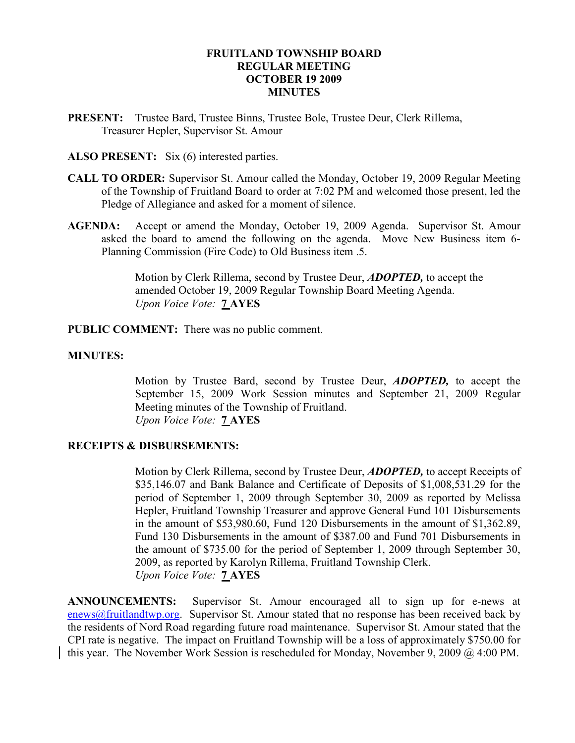#### FRUITLAND TOWNSHIP BOARD REGULAR MEETING OCTOBER 19 2009 **MINUTES**

PRESENT: Trustee Bard, Trustee Binns, Trustee Bole, Trustee Deur, Clerk Rillema, Treasurer Hepler, Supervisor St. Amour

#### ALSO PRESENT: Six (6) interested parties.

- CALL TO ORDER: Supervisor St. Amour called the Monday, October 19, 2009 Regular Meeting of the Township of Fruitland Board to order at 7:02 PM and welcomed those present, led the Pledge of Allegiance and asked for a moment of silence.
- AGENDA: Accept or amend the Monday, October 19, 2009 Agenda. Supervisor St. Amour asked the board to amend the following on the agenda. Move New Business item 6- Planning Commission (Fire Code) to Old Business item .5.

Motion by Clerk Rillema, second by Trustee Deur, **ADOPTED**, to accept the amended October 19, 2009 Regular Township Board Meeting Agenda. Upon Voice Vote: 7 AYES

PUBLIC COMMENT: There was no public comment.

#### MINUTES:

Motion by Trustee Bard, second by Trustee Deur, **ADOPTED**, to accept the September 15, 2009 Work Session minutes and September 21, 2009 Regular Meeting minutes of the Township of Fruitland. Upon Voice Vote: 7 AYES

## RECEIPTS & DISBURSEMENTS:

Motion by Clerk Rillema, second by Trustee Deur, **ADOPTED**, to accept Receipts of \$35,146.07 and Bank Balance and Certificate of Deposits of \$1,008,531.29 for the period of September 1, 2009 through September 30, 2009 as reported by Melissa Hepler, Fruitland Township Treasurer and approve General Fund 101 Disbursements in the amount of \$53,980.60, Fund 120 Disbursements in the amount of \$1,362.89, Fund 130 Disbursements in the amount of \$387.00 and Fund 701 Disbursements in the amount of \$735.00 for the period of September 1, 2009 through September 30, 2009, as reported by Karolyn Rillema, Fruitland Township Clerk. Upon Voice Vote: 7 AYES

ANNOUNCEMENTS: Supervisor St. Amour encouraged all to sign up for e-news at enews@fruitlandtwp.org. Supervisor St. Amour stated that no response has been received back by the residents of Nord Road regarding future road maintenance. Supervisor St. Amour stated that the CPI rate is negative. The impact on Fruitland Township will be a loss of approximately \$750.00 for this year. The November Work Session is rescheduled for Monday, November 9, 2009 @ 4:00 PM.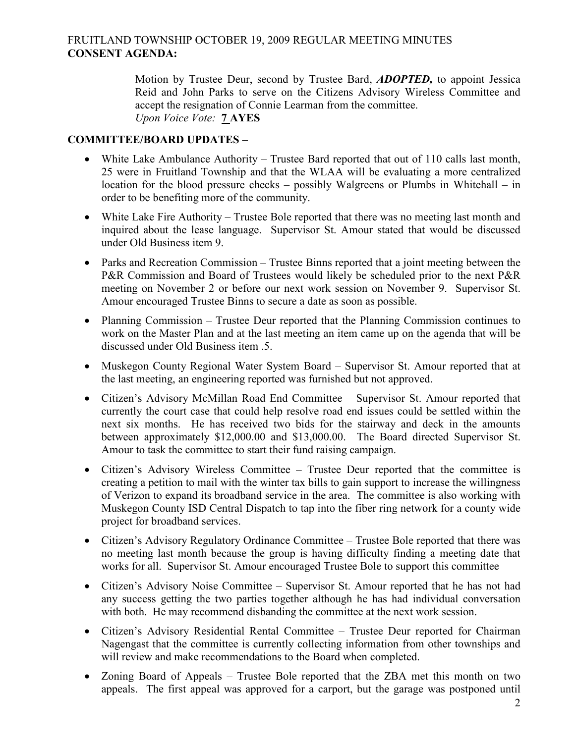# FRUITLAND TOWNSHIP OCTOBER 19, 2009 REGULAR MEETING MINUTES CONSENT AGENDA:

Motion by Trustee Deur, second by Trustee Bard, **ADOPTED**, to appoint Jessica Reid and John Parks to serve on the Citizens Advisory Wireless Committee and accept the resignation of Connie Learman from the committee. Upon Voice Vote: 7 AYES

## COMMITTEE/BOARD UPDATES –

- White Lake Ambulance Authority Trustee Bard reported that out of 110 calls last month, 25 were in Fruitland Township and that the WLAA will be evaluating a more centralized location for the blood pressure checks – possibly Walgreens or Plumbs in Whitehall – in order to be benefiting more of the community.
- White Lake Fire Authority Trustee Bole reported that there was no meeting last month and inquired about the lease language. Supervisor St. Amour stated that would be discussed under Old Business item 9.
- Parks and Recreation Commission Trustee Binns reported that a joint meeting between the P&R Commission and Board of Trustees would likely be scheduled prior to the next P&R meeting on November 2 or before our next work session on November 9. Supervisor St. Amour encouraged Trustee Binns to secure a date as soon as possible.
- Planning Commission Trustee Deur reported that the Planning Commission continues to work on the Master Plan and at the last meeting an item came up on the agenda that will be discussed under Old Business item .5.
- Muskegon County Regional Water System Board Supervisor St. Amour reported that at the last meeting, an engineering reported was furnished but not approved.
- Citizen's Advisory McMillan Road End Committee Supervisor St. Amour reported that currently the court case that could help resolve road end issues could be settled within the next six months. He has received two bids for the stairway and deck in the amounts between approximately \$12,000.00 and \$13,000.00. The Board directed Supervisor St. Amour to task the committee to start their fund raising campaign.
- Citizen's Advisory Wireless Committee Trustee Deur reported that the committee is creating a petition to mail with the winter tax bills to gain support to increase the willingness of Verizon to expand its broadband service in the area. The committee is also working with Muskegon County ISD Central Dispatch to tap into the fiber ring network for a county wide project for broadband services.
- Citizen's Advisory Regulatory Ordinance Committee Trustee Bole reported that there was no meeting last month because the group is having difficulty finding a meeting date that works for all. Supervisor St. Amour encouraged Trustee Bole to support this committee
- Citizen's Advisory Noise Committee Supervisor St. Amour reported that he has not had any success getting the two parties together although he has had individual conversation with both. He may recommend disbanding the committee at the next work session.
- Citizen's Advisory Residential Rental Committee Trustee Deur reported for Chairman Nagengast that the committee is currently collecting information from other townships and will review and make recommendations to the Board when completed.
- Zoning Board of Appeals Trustee Bole reported that the ZBA met this month on two appeals. The first appeal was approved for a carport, but the garage was postponed until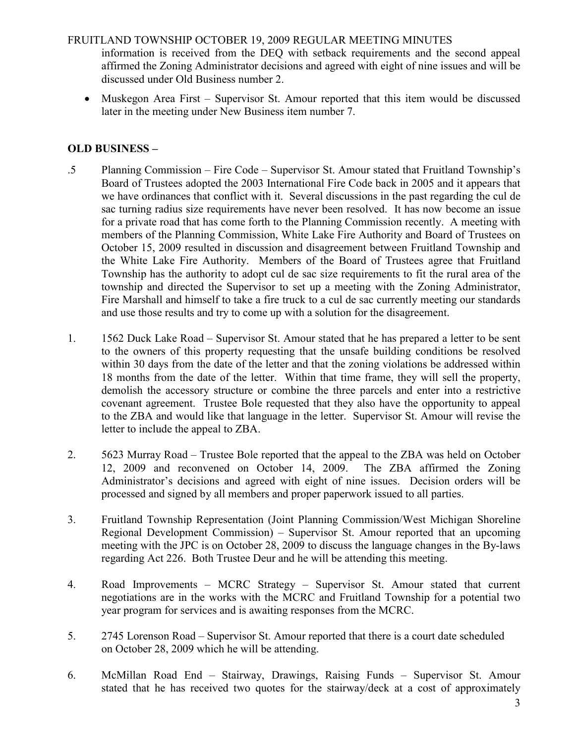### FRUITLAND TOWNSHIP OCTOBER 19, 2009 REGULAR MEETING MINUTES

information is received from the DEQ with setback requirements and the second appeal affirmed the Zoning Administrator decisions and agreed with eight of nine issues and will be discussed under Old Business number 2.

• Muskegon Area First – Supervisor St. Amour reported that this item would be discussed later in the meeting under New Business item number 7.

# OLD BUSINESS –

- .5 Planning Commission Fire Code Supervisor St. Amour stated that Fruitland Township's Board of Trustees adopted the 2003 International Fire Code back in 2005 and it appears that we have ordinances that conflict with it. Several discussions in the past regarding the cul de sac turning radius size requirements have never been resolved. It has now become an issue for a private road that has come forth to the Planning Commission recently. A meeting with members of the Planning Commission, White Lake Fire Authority and Board of Trustees on October 15, 2009 resulted in discussion and disagreement between Fruitland Township and the White Lake Fire Authority. Members of the Board of Trustees agree that Fruitland Township has the authority to adopt cul de sac size requirements to fit the rural area of the township and directed the Supervisor to set up a meeting with the Zoning Administrator, Fire Marshall and himself to take a fire truck to a cul de sac currently meeting our standards and use those results and try to come up with a solution for the disagreement.
- 1. 1562 Duck Lake Road Supervisor St. Amour stated that he has prepared a letter to be sent to the owners of this property requesting that the unsafe building conditions be resolved within 30 days from the date of the letter and that the zoning violations be addressed within 18 months from the date of the letter. Within that time frame, they will sell the property, demolish the accessory structure or combine the three parcels and enter into a restrictive covenant agreement. Trustee Bole requested that they also have the opportunity to appeal to the ZBA and would like that language in the letter. Supervisor St. Amour will revise the letter to include the appeal to ZBA.
- 2. 5623 Murray Road Trustee Bole reported that the appeal to the ZBA was held on October 12, 2009 and reconvened on October 14, 2009. The ZBA affirmed the Zoning Administrator's decisions and agreed with eight of nine issues. Decision orders will be processed and signed by all members and proper paperwork issued to all parties.
- 3. Fruitland Township Representation (Joint Planning Commission/West Michigan Shoreline Regional Development Commission) – Supervisor St. Amour reported that an upcoming meeting with the JPC is on October 28, 2009 to discuss the language changes in the By-laws regarding Act 226. Both Trustee Deur and he will be attending this meeting.
- 4. Road Improvements MCRC Strategy Supervisor St. Amour stated that current negotiations are in the works with the MCRC and Fruitland Township for a potential two year program for services and is awaiting responses from the MCRC.
- 5. 2745 Lorenson Road Supervisor St. Amour reported that there is a court date scheduled on October 28, 2009 which he will be attending.
- 6. McMillan Road End Stairway, Drawings, Raising Funds Supervisor St. Amour stated that he has received two quotes for the stairway/deck at a cost of approximately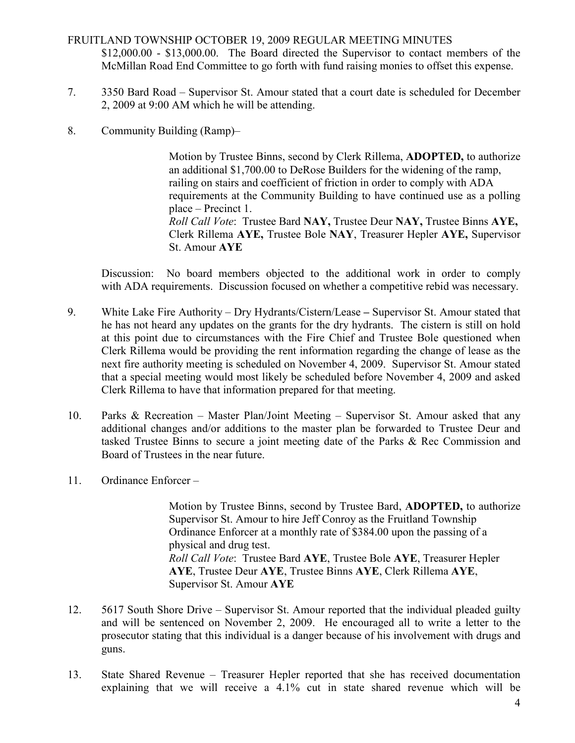## FRUITLAND TOWNSHIP OCTOBER 19, 2009 REGULAR MEETING MINUTES \$12,000.00 - \$13,000.00. The Board directed the Supervisor to contact members of the McMillan Road End Committee to go forth with fund raising monies to offset this expense.

- 7. 3350 Bard Road Supervisor St. Amour stated that a court date is scheduled for December 2, 2009 at 9:00 AM which he will be attending.
- 8. Community Building (Ramp)–

 Motion by Trustee Binns, second by Clerk Rillema, ADOPTED, to authorize an additional \$1,700.00 to DeRose Builders for the widening of the ramp, railing on stairs and coefficient of friction in order to comply with ADA requirements at the Community Building to have continued use as a polling place – Precinct 1. Roll Call Vote: Trustee Bard NAY, Trustee Deur NAY, Trustee Binns AYE, Clerk Rillema AYE, Trustee Bole NAY, Treasurer Hepler AYE, Supervisor St. Amour AYE

Discussion: No board members objected to the additional work in order to comply with ADA requirements. Discussion focused on whether a competitive rebid was necessary.

- 9. White Lake Fire Authority Dry Hydrants/Cistern/Lease Supervisor St. Amour stated that he has not heard any updates on the grants for the dry hydrants. The cistern is still on hold at this point due to circumstances with the Fire Chief and Trustee Bole questioned when Clerk Rillema would be providing the rent information regarding the change of lease as the next fire authority meeting is scheduled on November 4, 2009. Supervisor St. Amour stated that a special meeting would most likely be scheduled before November 4, 2009 and asked Clerk Rillema to have that information prepared for that meeting.
- 10. Parks & Recreation Master Plan/Joint Meeting Supervisor St. Amour asked that any additional changes and/or additions to the master plan be forwarded to Trustee Deur and tasked Trustee Binns to secure a joint meeting date of the Parks & Rec Commission and Board of Trustees in the near future.
- 11. Ordinance Enforcer –

 Motion by Trustee Binns, second by Trustee Bard, ADOPTED, to authorize Supervisor St. Amour to hire Jeff Conroy as the Fruitland Township Ordinance Enforcer at a monthly rate of \$384.00 upon the passing of a physical and drug test. Roll Call Vote: Trustee Bard AYE, Trustee Bole AYE, Treasurer Hepler AYE, Trustee Deur AYE, Trustee Binns AYE, Clerk Rillema AYE, Supervisor St. Amour AYE

- 12. 5617 South Shore Drive Supervisor St. Amour reported that the individual pleaded guilty and will be sentenced on November 2, 2009. He encouraged all to write a letter to the prosecutor stating that this individual is a danger because of his involvement with drugs and guns.
- 13. State Shared Revenue Treasurer Hepler reported that she has received documentation explaining that we will receive a 4.1% cut in state shared revenue which will be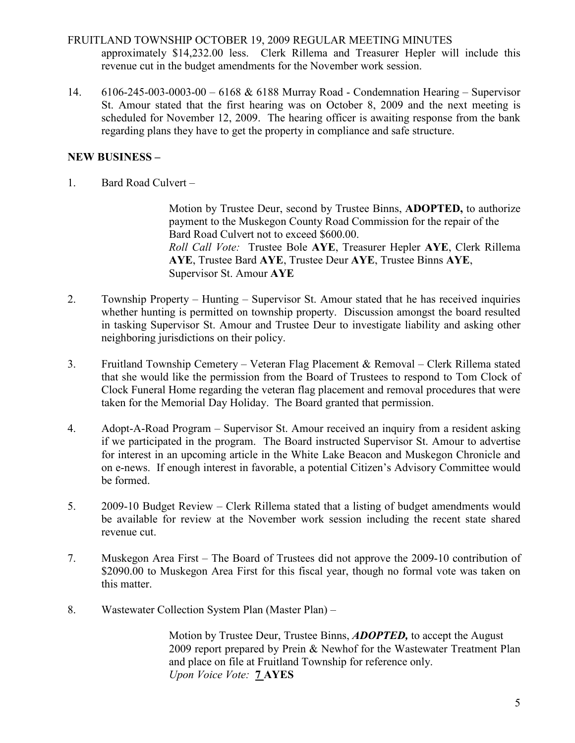## FRUITLAND TOWNSHIP OCTOBER 19, 2009 REGULAR MEETING MINUTES approximately \$14,232.00 less. Clerk Rillema and Treasurer Hepler will include this revenue cut in the budget amendments for the November work session.

14. 6106-245-003-0003-00 – 6168 & 6188 Murray Road - Condemnation Hearing – Supervisor St. Amour stated that the first hearing was on October 8, 2009 and the next meeting is scheduled for November 12, 2009. The hearing officer is awaiting response from the bank regarding plans they have to get the property in compliance and safe structure.

# NEW BUSINESS –

1. Bard Road Culvert –

 Motion by Trustee Deur, second by Trustee Binns, ADOPTED, to authorize payment to the Muskegon County Road Commission for the repair of the Bard Road Culvert not to exceed \$600.00. Roll Call Vote: Trustee Bole AYE, Treasurer Hepler AYE, Clerk Rillema AYE, Trustee Bard AYE, Trustee Deur AYE, Trustee Binns AYE, Supervisor St. Amour AYE

- 2. Township Property Hunting Supervisor St. Amour stated that he has received inquiries whether hunting is permitted on township property. Discussion amongst the board resulted in tasking Supervisor St. Amour and Trustee Deur to investigate liability and asking other neighboring jurisdictions on their policy.
- 3. Fruitland Township Cemetery Veteran Flag Placement & Removal Clerk Rillema stated that she would like the permission from the Board of Trustees to respond to Tom Clock of Clock Funeral Home regarding the veteran flag placement and removal procedures that were taken for the Memorial Day Holiday. The Board granted that permission.
- 4. Adopt-A-Road Program Supervisor St. Amour received an inquiry from a resident asking if we participated in the program. The Board instructed Supervisor St. Amour to advertise for interest in an upcoming article in the White Lake Beacon and Muskegon Chronicle and on e-news. If enough interest in favorable, a potential Citizen's Advisory Committee would be formed.
- 5. 2009-10 Budget Review Clerk Rillema stated that a listing of budget amendments would be available for review at the November work session including the recent state shared revenue cut.
- 7. Muskegon Area First The Board of Trustees did not approve the 2009-10 contribution of \$2090.00 to Muskegon Area First for this fiscal year, though no formal vote was taken on this matter.
- 8. Wastewater Collection System Plan (Master Plan) –

Motion by Trustee Deur, Trustee Binns, **ADOPTED**, to accept the August 2009 report prepared by Prein & Newhof for the Wastewater Treatment Plan and place on file at Fruitland Township for reference only. Upon Voice Vote: **7 AYES**